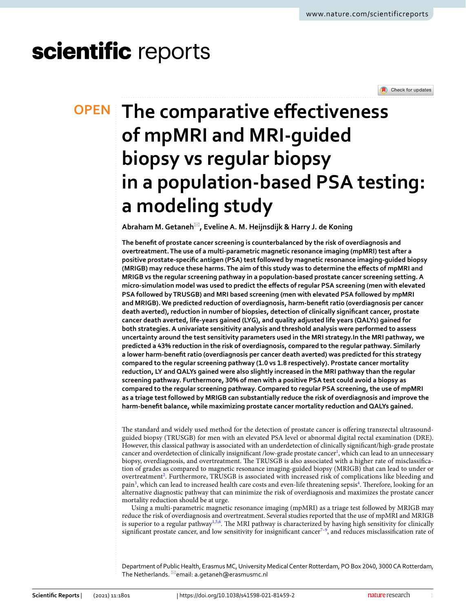# scientific reports



# **The comparative efectiveness OPEN of mpMRI and MRI‑guided biopsy vs regular biopsy in a population‑based PSA testing: a modeling study**

**Abraham M.Getaneh**\***, EvelineA. M. Heijnsdijk & Harry J. de Koning**

**The beneft of prostate cancer screening is counterbalanced by the risk of overdiagnosis and overtreatment. The use of a multi-parametric magnetic resonance imaging (mpMRI) test after a positive prostate-specifc antigen (PSA) test followed by magnetic resonance imaging-guided biopsy (MRIGB) may reduce these harms. The aim of this study was to determine the efects of mpMRI and MRIGB vs the regular screening pathway in a population-based prostate cancer screening setting. A micro-simulation model was used to predict the efects of regular PSA screening (men with elevated PSA followed by TRUSGB) and MRI based screening (men with elevated PSA followed by mpMRI and MRIGB). We predicted reduction of overdiagnosis, harm-beneft ratio (overdiagnosis per cancer death averted), reduction in number of biopsies, detection of clinically signifcant cancer, prostate cancer death averted, life-years gained (LYG), and quality adjusted life years (QALYs) gained for both strategies. A univariate sensitivity analysis and threshold analysis were performed to assess uncertainty around the test sensitivity parameters used in the MRI strategy.In the MRI pathway, we predicted a 43% reduction in the risk of overdiagnosis, compared to the regular pathway. Similarly a lower harm-beneft ratio (overdiagnosis per cancer death averted) was predicted for this strategy compared to the regular screening pathway (1.0 vs 1.8 respectively). Prostate cancer mortality reduction, LY and QALYs gained were also slightly increased in the MRI pathway than the regular screening pathway. Furthermore, 30% of men with a positive PSA test could avoid a biopsy as compared to the regular screening pathway. Compared to regular PSA screening, the use of mpMRI as a triage test followed by MRIGB can substantially reduce the risk of overdiagnosis and improve the harm-beneft balance, while maximizing prostate cancer mortality reduction and QALYs gained.**

The standard and widely used method for the detection of prostate cancer is offering transrectal ultrasoundguided biopsy (TRUSGB) for men with an elevated PSA level or abnormal digital rectal examination (DRE). However, this classical pathway is associated with an underdetection of clinically signifcant/high-grade prostate cancer and overdetection of clinically insignificant /low-grade prostate cancer<sup>[1](#page-5-0)</sup>, which can lead to an unnecessary biopsy, overdiagnosis, and overtreatment. The TRUSGB is also associated with a higher rate of misclassification of grades as compared to magnetic resonance imaging-guided biopsy (MRIGB) that can lead to under or overtreatment<sup>2</sup>. Furthermore, TRUSGB is associated with increased risk of complications like bleeding and pain<sup>[3](#page-5-2)</sup>, which can lead to increased health care costs and even-life threatening sepsis<sup>[4](#page-5-3)</sup>. Therefore, looking for an alternative diagnostic pathway that can minimize the risk of overdiagnosis and maximizes the prostate cancer mortality reduction should be at urge.

Using a multi-parametric magnetic resonance imaging (mpMRI) as a triage test followed by MRIGB may reduce the risk of overdiagnosis and overtreatment. Several studies reported that the use of mpMRI and MRIGB is superior to a regular pathway<sup>1[,5](#page-5-4),[6](#page-5-5)</sup>. The MRI pathway is characterized by having high sensitivity for clinically significant prostate cancer, and low sensitivity for insignificant cancer $7^{-9}$  $7^{-9}$ , and reduces misclassification rate of

Department of Public Health, Erasmus MC, University Medical Center Rotterdam, PO Box 2040, 3000 CA Rotterdam, The Netherlands.  $\mathbb{Z}$ email: a.getaneh@erasmusmc.nl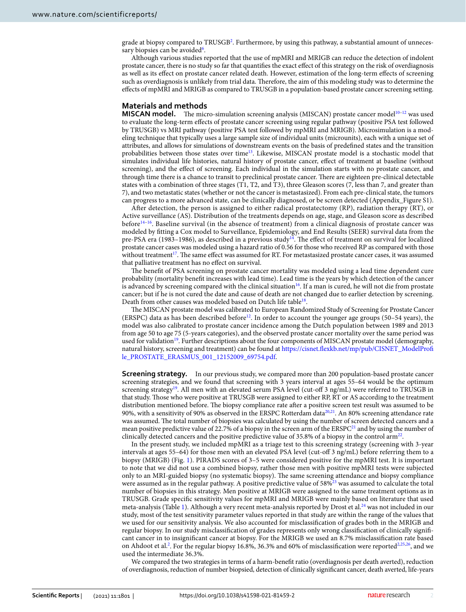grade at biopsy compared to TRUSGB<sup>2</sup>. Furthermore, by using this pathway, a substantial amount of unneces-sary biopsies can be avoided<sup>[6](#page-5-5)</sup>.

Although various studies reported that the use of mpMRI and MRIGB can reduce the detection of indolent prostate cancer, there is no study so far that quantifes the exact efect of this strategy on the risk of overdiagnosis as well as its efect on prostate cancer related death. However, estimation of the long-term efects of screening such as overdiagnosis is unlikely from trial data. Therefore, the aim of this modeling study was to determine the efects of mpMRI and MRIGB as compared to TRUSGB in a population-based prostate cancer screening setting.

## **Materials and methods**

**MISCAN model.** The micro-simulation screening analysis (MISCAN) prostate cancer model<sup>10–12</sup> was used to evaluate the long-term efects of prostate cancer screening using regular pathway (positive PSA test followed by TRUSGB) vs MRI pathway (positive PSA test followed by mpMRI and MRIGB). Microsimulation is a modeling technique that typically uses a large sample size of individual units (microunits), each with a unique set of attributes, and allows for simulations of downstream events on the basis of predefned states and the transition probabilities between those states over time<sup>13</sup>. Likewise, MISCAN prostate model is a stochastic model that simulates individual life histories, natural history of prostate cancer, efect of treatment at baseline (without screening), and the efect of screening. Each individual in the simulation starts with no prostate cancer, and through time there is a chance to transit to preclinical prostate cancer. There are eighteen pre-clinical detectable states with a combination of three stages (T1, T2, and T3), three Gleason scores (7, less than 7, and greater than 7), and two metastatic states (whether or not the cancer is metastasized). From each pre-clinical state, the tumors can progress to a more advanced state, can be clinically diagnosed, or be screen detected (Appendix\_Figure S1).

Afer detection, the person is assigned to either radical prostatectomy (RP), radiation therapy (RT), or Active surveillance (AS). Distribution of the treatments depends on age, stage, and Gleason score as described befor[e14](#page-6-5)[–16](#page-6-6). Baseline survival (in the absence of treatment) from a clinical diagnosis of prostate cancer was modeled by ftting a Cox model to Surveillance, Epidemiology, and End Results (SEER) survival data from the pre-PSA era (1983–1986), as described in a previous study<sup>14</sup>. The effect of treatment on survival for localized prostate cancer cases was modeled using a hazard ratio of 0.56 for those who received RP as compared with those without treatment<sup>[17](#page-6-7)</sup>. The same effect was assumed for RT. For metastasized prostate cancer cases, it was assumed that palliative treatment has no efect on survival.

The benefit of PSA screening on prostate cancer mortality was modeled using a lead time dependent cure probability (mortality beneft increases with lead time). Lead time is the years by which detection of the cancer is advanced by screening compared with the clinical situation<sup>[16](#page-6-6)</sup>. If a man is cured, he will not die from prostate cancer; but if he is not cured the date and cause of death are not changed due to earlier detection by screening. Death from other causes was modeled based on Dutch life table<sup>18</sup>.

The MISCAN prostate model was calibrated to European Randomized Study of Screening for Prostate Cancer (ERSPC) data as has been described before<sup>12</sup>. In order to account the younger age groups (50–54 years), the model was also calibrated to prostate cancer incidence among the Dutch population between 1989 and 2013 from age 50 to age 75 (5-years categories), and the observed prostate cancer mortality over the same period was used for validation<sup>19</sup>. Further descriptions about the four components of MISCAN prostate model (demography, natural history, screening and treatment) can be found at [https://cisnet.fexkb.net/mp/pub/CISNET\\_ModelProf](https://cisnet.flexkb.net/mp/pub/CISNET_ModelProfile_PROSTATE_ERASMUS_001_12152009_69754.pdf) [le\\_PROSTATE\\_ERASMUS\\_001\\_12152009\\_69754.pdf](https://cisnet.flexkb.net/mp/pub/CISNET_ModelProfile_PROSTATE_ERASMUS_001_12152009_69754.pdf).

**Screening strategy.** In our previous study, we compared more than 200 population-based prostate cancer screening strategies, and we found that screening with 3 years interval at ages 55–64 would be the optimum screening strategy<sup>19</sup>. All men with an elevated serum PSA level (cut-off 3 ng/mL) were referred to TRUSGB in that study. Tose who were positive at TRUSGB were assigned to either RP, RT or AS according to the treatment distribution mentioned before. The biopsy compliance rate after a positive screen test result was assumed to be 90%, with a sensitivity of 90% as observed in the ERSPC Rotterdam dat[a20](#page-6-10)[,21](#page-6-11). An 80% screening attendance rate was assumed. The total number of biopsies was calculated by using the number of screen detected cancers and a mean positive predictive value of 22.7% of a biopsy in the screen arm of the  $ERSPC<sup>21</sup>$  and by using the number of clinically detected cancers and the positive predictive value of 35.8% of a biopsy in the control arm<sup>22</sup>.

In the present study, we included mpMRI as a triage test to this screening strategy (screening with 3-year intervals at ages 55–64) for those men with an elevated PSA level (cut-off 3 ng/mL) before referring them to a biopsy (MRIGB) (Fig. [1\)](#page-2-0). PIRADS scores of 3–5 were considered positive for the mpMRI test. It is important to note that we did not use a combined biopsy, rather those men with positive mpMRI tests were subjected only to an MRI-guided biopsy (no systematic biopsy). The same screening attendance and biopsy compliance were assumed as in the regular pathway. A positive predictive value of 58%[23](#page-6-13) was assumed to calculate the total number of biopsies in this strategy. Men positive at MRIGB were assigned to the same treatment options as in TRUSGB. Grade specifc sensitivity values for mpMRI and MRIGB were mainly based on literature that used meta-analysis (Table [1](#page-2-1)). Although a very recent meta-analysis reported by Drost et al.<sup>[24](#page-6-14)</sup> was not included in our study, most of the test sensitivity parameter values reported in that study are within the range of the values that we used for our sensitivity analysis. We also accounted for misclassifcation of grades both in the MRIGB and regular biopsy. In our study misclassifcation of grades represents only wrong classifcation of clinically signifcant cancer in to insignifcant cancer at biopsy. For the MRIGB we used an 8.7% misclassifcation rate based on Ahdoot et al.<sup>[2](#page-5-1)</sup>. For the regular biopsy 16.8%, 36.3% and 60% of misclassification were reported<sup>2,[25](#page-6-15),26</sup>, and we used the intermediate 36.3%.

We compared the two strategies in terms of a harm-beneft ratio (overdiagnosis per death averted), reduction of overdiagnosis, reduction of number biopsied, detection of clinically signifcant cancer, death averted, life-years

2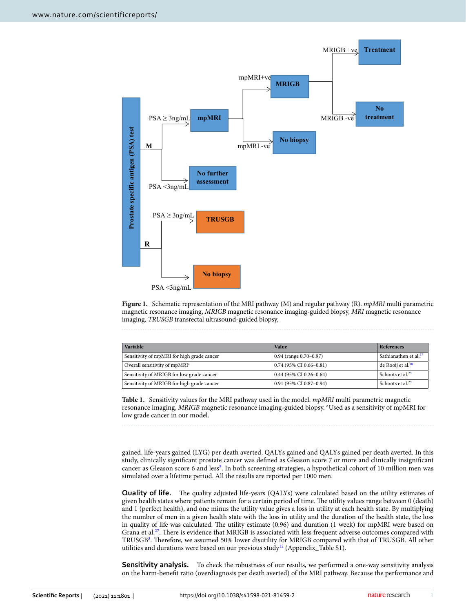

<span id="page-2-0"></span>**Figure 1.** Schematic representation of the MRI pathway (M) and regular pathway (R). *mpMRI* multi parametric magnetic resonance imaging, *MRIGB* magnetic resonance imaging-guided biopsy, *MRI* magnetic resonance imaging, *TRUSGB* transrectal ultrasound-guided biopsy.

| Variable                                   | Value                         | <b>References</b>                 |
|--------------------------------------------|-------------------------------|-----------------------------------|
| Sensitivity of mpMRI for high grade cancer | $0.94$ (range $0.70 - 0.97$ ) | Sathianathen et al. <sup>37</sup> |
| Overall sensitivity of mpMRI <sup>a</sup>  | $0.74$ (95% CI 0.66-0.81)     | de Rooij et al. <sup>38</sup>     |
| Sensitivity of MRIGB for low grade cancer  | $0.44$ (95% CI 0.26-0.64)     | Schoots et al. <sup>29</sup>      |
| Sensitivity of MRIGB for high grade cancer | 0.91 (95% CI 0.87-0.94)       | Schoots et al. <sup>29</sup>      |

<span id="page-2-1"></span>**Table 1.** Sensitivity values for the MRI pathway used in the model. *mpMRI* multi parametric magnetic resonance imaging, MRIGB magnetic resonance imaging-guided biopsy. <sup>a</sup>Used as a sensitivity of mpMRI for low grade cancer in our model.

gained, life-years gained (LYG) per death averted, QALYs gained and QALYs gained per death averted. In this study, clinically signifcant prostate cancer was defned as Gleason score 7 or more and clinically insignifcant cancer as Gleason score 6 and less<sup>5</sup>. In both screening strategies, a hypothetical cohort of 10 million men was simulated over a lifetime period. All the results are reported per 1000 men.

**Quality of life.** The quality adjusted life-years (QALYs) were calculated based on the utility estimates of given health states where patients remain for a certain period of time. The utility values range between 0 (death) and 1 (perfect health), and one minus the utility value gives a loss in utility at each health state. By multiplying the number of men in a given health state with the loss in utility and the duration of the health state, the loss in quality of life was calculated. The utility estimate (0.96) and duration (1 week) for mpMRI were based on Grana et al.<sup>27</sup>. There is evidence that MRIGB is associated with less frequent adverse outcomes compared with TRUSGB<sup>3</sup>. Therefore, we assumed 50% lower disutility for MRIGB compared with that of TRUSGB. All other utilities and durations were based on our previous study<sup>[12](#page-6-3)</sup> (Appendix\_Table S1).

**Sensitivity analysis.** To check the robustness of our results, we performed a one-way sensitivity analysis on the harm-beneft ratio (overdiagnosis per death averted) of the MRI pathway. Because the performance and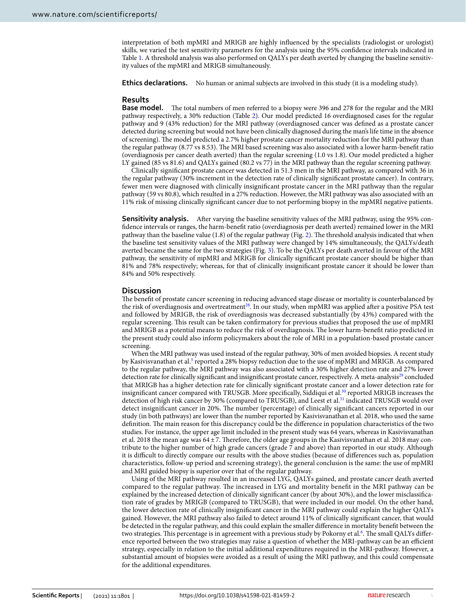interpretation of both mpMRI and MRIGB are highly infuenced by the specialists (radiologist or urologist) skills, we varied the test sensitivity parameters for the analysis using the 95% confdence intervals indicated in Table [1](#page-2-1). A threshold analysis was also performed on QALYs per death averted by changing the baseline sensitivity values of the mpMRI and MRIGB simultaneously.

**Ethics declarations.** No human or animal subjects are involved in this study (it is a modeling study).

### **Results**

**Base model.** The total numbers of men referred to a biopsy were 396 and 278 for the regular and the MRI pathway respectively, a 30% reduction (Table [2\)](#page-4-0). Our model predicted 16 overdiagnosed cases for the regular pathway and 9 (43% reduction) for the MRI pathway (overdiagnosed cancer was defned as a prostate cancer detected during screening but would not have been clinically diagnosed during the man's life time in the absence of screening). The model predicted a 2.7% higher prostate cancer mortality reduction for the MRI pathway than the regular pathway (8.77 vs 8.53). The MRI based screening was also associated with a lower harm-benefit ratio (overdiagnosis per cancer death averted) than the regular screening (1.0 vs 1.8). Our model predicted a higher LY gained (85 vs 81.6) and QALYs gained (80.2 vs 77) in the MRI pathway than the regular screening pathway.

Clinically signifcant prostate cancer was detected in 51.3 men in the MRI pathway, as compared with 36 in the regular pathway (30% increment in the detection rate of clinically signifcant prostate cancer). In contrary, fewer men were diagnosed with clinically insignifcant prostate cancer in the MRI pathway than the regular pathway (59 vs 80.8), which resulted in a 27% reduction. However, the MRI pathway was also associated with an 11% risk of missing clinically signifcant cancer due to not performing biopsy in the mpMRI negative patients.

**Sensitivity analysis.** After varying the baseline sensitivity values of the MRI pathway, using the 95% confdence intervals or ranges, the harm-beneft ratio (overdiagnosis per death averted) remained lower in the MRI pathway than the baseline value  $(1.8)$  of the regular pathway (Fig. [2\)](#page-4-1). The threshold analysis indicated that when the baseline test sensitivity values of the MRI pathway were changed by 14% simultaneously, the QALYs/death averted became the same for the two strategies (Fig. [3\)](#page-5-6). To be the QALYs per death averted in favour of the MRI pathway, the sensitivity of mpMRI and MRIGB for clinically signifcant prostate cancer should be higher than 81% and 78% respectively; whereas, for that of clinically insignifcant prostate cancer it should be lower than 84% and 50% respectively.

### **Discussion**

The benefit of prostate cancer screening in reducing advanced stage disease or mortality is counterbalanced by the risk of overdiagnosis and overtreatment<sup>[28](#page-6-21)</sup>. In our study, when mpMRI was applied after a positive PSA test and followed by MRIGB, the risk of overdiagnosis was decreased substantially (by 43%) compared with the regular screening. Tis result can be taken confrmatory for previous studies that proposed the use of mpMRI and MRIGB as a potential means to reduce the risk of overdiagnosis. The lower harm-benefit ratio predicted in the present study could also inform policymakers about the role of MRI in a population-based prostate cancer screening.

When the MRI pathway was used instead of the regular pathway, 30% of men avoided biopsies. A recent study by Kasivisvanathan et al.<sup>[5](#page-5-4)</sup> reported a 28% biopsy reduction due to the use of mpMRI and MRIGB. As compared to the regular pathway, the MRI pathway was also associated with a 30% higher detection rate and 27% lower detection rate for clinically significant and insignificant prostate cancer, respectively. A meta-analysis<sup>[29](#page-6-20)</sup> concluded that MRIGB has a higher detection rate for clinically signifcant prostate cancer and a lower detection rate for insignificant cancer compared with TRUSGB. More specifically, Siddiqui et al.<sup>[30](#page-6-22)</sup> reported MRIGB increases the detection of high risk cancer by 30% (compared to TRUSGB), and Leest et al.[31](#page-6-23) indicated TRUSGB would over detect insignifcant cancer in 20%. Te number (percentage) of clinically signifcant cancers reported in our study (in both pathways) are lower than the number reported by Kasivisvanathan et al. 2018, who used the same definition. The main reason for this discrepancy could be the difference in population characteristics of the two studies. For instance, the upper age limit included in the present study was 64 years, whereas in Kasivisvanathan et al. 2018 the mean age was 64±7. Therefore, the older age groups in the Kasivisvanathan et al. 2018 may contribute to the higher number of high grade cancers (grade 7 and above) than reported in our study. Although it is difcult to directly compare our results with the above studies (because of diferences such as, population characteristics, follow-up period and screening strategy), the general conclusion is the same: the use of mpMRI and MRI guided biopsy is superior over that of the regular pathway.

Using of the MRI pathway resulted in an increased LYG, QALYs gained, and prostate cancer death averted compared to the regular pathway. The increased in LYG and mortality benefit in the MRI pathway can be explained by the increased detection of clinically signifcant cancer (by about 30%), and the lower misclassifcation rate of grades by MRIGB (compared to TRUSGB), that were included in our model. On the other hand, the lower detection rate of clinically insignifcant cancer in the MRI pathway could explain the higher QALYs gained. However, the MRI pathway also failed to detect around 11% of clinically signifcant cancer, that would be detected in the regular pathway, and this could explain the smaller diference in mortality beneft between the two strategies. This percentage is in agreement with a previous study by Pokorny et al.<sup>[6](#page-5-5)</sup>. The small QALYs difference reported between the two strategies may raise a question of whether the MRI-pathway can be an efficient strategy, especially in relation to the initial additional expenditures required in the MRI-pathway. However, a substantial amount of biopsies were avoided as a result of using the MRI pathway, and this could compensate for the additional expenditures.

4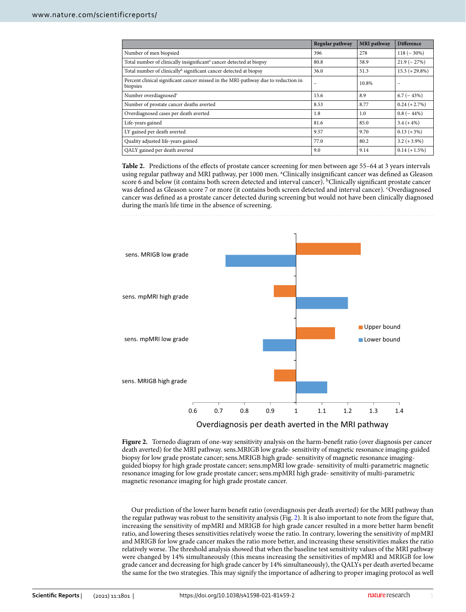|                                                                                               | Regular pathway | <b>MRI</b> pathway | <b>Difference</b> |
|-----------------------------------------------------------------------------------------------|-----------------|--------------------|-------------------|
| Number of men biopsied                                                                        | 396             | 278                | $118 (-30\%)$     |
| Total number of clinically insignificant <sup>a</sup> cancer detected at biopsy               | 80.8            | 58.9               | $21.9(-27%)$      |
| Total number of clinically <sup>b</sup> significant cancer detected at biopsy                 | 36.0            | 51.3               | $15.3 (+29.8%)$   |
| Percent clinical significant cancer missed in the MRI-pathway due to reduction in<br>biopsies | -               | 10.8%              |                   |
| Number overdiagnosed <sup>c</sup>                                                             | 15.6            | 8.9                | $6.7(-43%)$       |
| Number of prostate cancer deaths averted                                                      | 8.53            | 8.77               | $0.24 (+2.7%)$    |
| Overdiagnosed cases per death averted                                                         | 1.8             | 1.0                | $0.8$ ( $-44\%$ ) |
| Life-years gained                                                                             | 81.6            | 85.0               | $3.4 (+4%)$       |
| LY gained per death averted                                                                   | 9.57            | 9.70               | $0.13 (+3%)$      |
| Quality adjusted life-years gained                                                            | 77.0            | 80.2               | $3.2 (+3.9\%)$    |
| QALY gained per death averted                                                                 | 9.0             | 9.14               | $0.14 (+ 1.5%)$   |

<span id="page-4-0"></span>**Table 2.** Predictions of the efects of prostate cancer screening for men between age 55–64 at 3 years intervals using regular pathway and MRI pathway, per 1000 men. <sup>a</sup>Clinically insignificant cancer was defined as Gleason score 6 and below (it contains both screen detected and interval cancer). <sup>b</sup>Clinically significant prostate cancer was defned as Gleason score 7 or more (it contains both screen detected and interval cancer). c Overdiagnosed cancer was defned as a prostate cancer detected during screening but would not have been clinically diagnosed during the man's life time in the absence of screening.



<span id="page-4-1"></span>**Figure 2.** Tornedo diagram of one-way sensitivity analysis on the harm-beneft ratio (over diagnosis per cancer death averted) for the MRI pathway. sens.MRIGB low grade- sensitivity of magnetic resonance imaging-guided biopsy for low grade prostate cancer; sens.MRIGB high grade- sensitivity of magnetic resonance imagingguided biopsy for high grade prostate cancer; sens.mpMRI low grade- sensitivity of multi-parametric magnetic resonance imaging for low grade prostate cancer; sens.mpMRI high grade- sensitivity of multi-parametric magnetic resonance imaging for high grade prostate cancer.

Our prediction of the lower harm beneft ratio (overdiagnosis per death averted) for the MRI pathway than the regular pathway was robust to the sensitivity analysis (Fig. [2](#page-4-1)). It is also important to note from the fgure that, increasing the sensitivity of mpMRI and MRIGB for high grade cancer resulted in a more better harm beneft ratio, and lowering theses sensitivities relatively worse the ratio. In contrary, lowering the sensitivity of mpMRI and MRIGB for low grade cancer makes the ratio more better, and increasing these sensitivities makes the ratio relatively worse. The threshold analysis showed that when the baseline test sensitivity values of the MRI pathway were changed by 14% simultaneously (this means increasing the sensitivities of mpMRI and MRIGB for low grade cancer and decreasing for high grade cancer by 14% simultaneously), the QALYs per death averted became the same for the two strategies. Tis may signify the importance of adhering to proper imaging protocol as well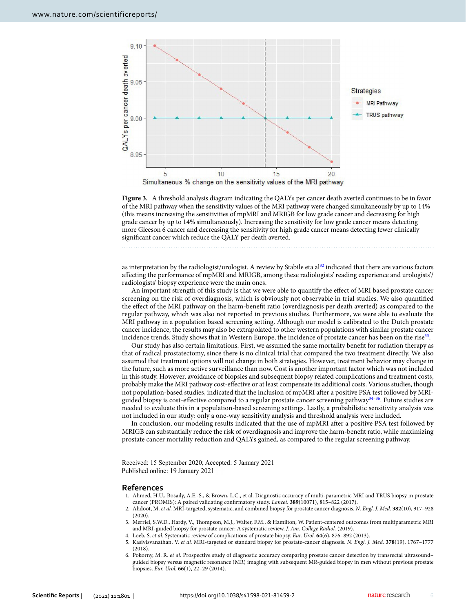

<span id="page-5-6"></span>**Figure 3.** A threshold analysis diagram indicating the QALYs per cancer death averted continues to be in favor of the MRI pathway when the sensitivity values of the MRI pathway were changed simultaneously by up to 14% (this means increasing the sensitivities of mpMRI and MRIGB for low grade cancer and decreasing for high grade cancer by up to 14% simultaneously). Increasing the sensitivity for low grade cancer means detecting more Gleeson 6 cancer and decreasing the sensitivity for high grade cancer means detecting fewer clinically signifcant cancer which reduce the QALY per death averted.

as interpretation by the radiologist/urologist. A review by Stabile eta al<sup>[32](#page-6-24)</sup> indicated that there are various factors afecting the performance of mpMRI and MRIGB, among these radiologists' reading experience and urologists'/ radiologists' biopsy experience were the main ones.

An important strength of this study is that we were able to quantify the efect of MRI based prostate cancer screening on the risk of overdiagnosis, which is obviously not observable in trial studies. We also quantifed the efect of the MRI pathway on the harm-beneft ratio (overdiagnosis per death averted) as compared to the regular pathway, which was also not reported in previous studies. Furthermore, we were able to evaluate the MRI pathway in a population based screening setting. Although our model is calibrated to the Dutch prostate cancer incidence, the results may also be extrapolated to other western populations with similar prostate cancer incidence trends. Study shows that in Western Europe, the incidence of prostate cancer has been on the rise<sup>[33](#page-6-25)</sup>.

Our study has also certain limitations. First, we assumed the same mortality beneft for radiation therapy as that of radical prostatectomy, since there is no clinical trial that compared the two treatment directly. We also assumed that treatment options will not change in both strategies. However, treatment behavior may change in the future, such as more active surveillance than now. Cost is another important factor which was not included in this study. However, avoidance of biopsies and subsequent biopsy related complications and treatment costs, probably make the MRI pathway cost-efective or at least compensate its additional costs. Various studies, though not population-based studies, indicated that the inclusion of mpMRI afer a positive PSA test followed by MRIguided biopsy is cost-efective compared to a regular prostate cancer screening pathway[34](#page-6-26)[–36.](#page-6-27) Future studies are needed to evaluate this in a population-based screening settings. Lastly, a probabilistic sensitivity analysis was not included in our study: only a one-way sensitivity analysis and threshold analysis were included.

In conclusion, our modeling results indicated that the use of mpMRI afer a positive PSA test followed by MRIGB can substantially reduce the risk of overdiagnosis and improve the harm-beneft ratio, while maximizing prostate cancer mortality reduction and QALYs gained, as compared to the regular screening pathway.

Received: 15 September 2020; Accepted: 5 January 2021 Published online: 19 January 2021

#### **References**

- <span id="page-5-0"></span>1. Ahmed, H.U., Bosaily, A.E.-S., & Brown, L.C., et al. Diagnostic accuracy of multi-parametric MRI and TRUS biopsy in prostate cancer (PROMIS): A paired validating confrmatory study. *Lancet.* **389**(10071), 815–822 (2017).
- <span id="page-5-1"></span>2. Ahdoot, M. *et al.* MRI-targeted, systematic, and combined biopsy for prostate cancer diagnosis. *N. Engl. J. Med.* **382**(10), 917–928 (2020).
- <span id="page-5-2"></span>3. Merriel, S.W.D., Hardy, V., Tompson, M.J., Walter, F.M., & Hamilton, W. Patient-centered outcomes from multiparametric MRI and MRI-guided biopsy for prostate cancer: A systematic review. *J. Am. College Radiol.* (2019).
- <span id="page-5-3"></span>4. Loeb, S. *et al.* Systematic review of complications of prostate biopsy. *Eur. Urol.* **64**(6), 876–892 (2013).
- <span id="page-5-4"></span>5. Kasivisvanathan, V. *et al.* MRI-targeted or standard biopsy for prostate-cancer diagnosis. *N. Engl. J. Med.* **378**(19), 1767–1777 (2018).
- <span id="page-5-5"></span>6. Pokorny, M. R. *et al.* Prospective study of diagnostic accuracy comparing prostate cancer detection by transrectal ultrasound– guided biopsy versus magnetic resonance (MR) imaging with subsequent MR-guided biopsy in men without previous prostate biopsies. *Eur. Urol.* **66**(1), 22–29 (2014).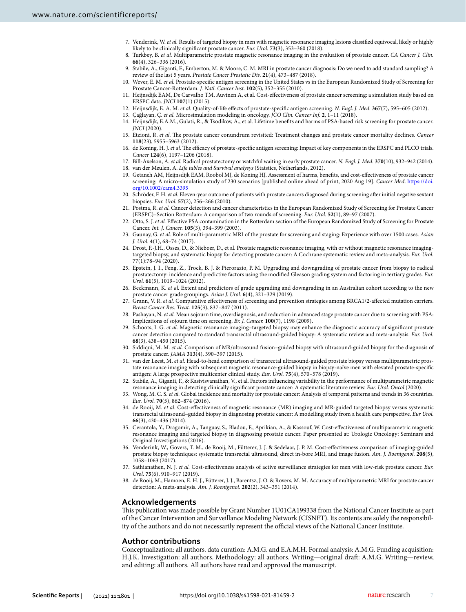- <span id="page-6-0"></span>7. Venderink, W. *et al.* Results of targeted biopsy in men with magnetic resonance imaging lesions classifed equivocal, likely or highly likely to be clinically signifcant prostate cancer. *Eur. Urol.* **73**(3), 353–360 (2018).
- 8. Turkbey, B. *et al.* Multiparametric prostate magnetic resonance imaging in the evaluation of prostate cancer. *CA Cancer J. Clin.* **66**(4), 326–336 (2016).
- <span id="page-6-1"></span>9. Stabile, A., Giganti, F., Emberton, M. & Moore, C. M. MRI in prostate cancer diagnosis: Do we need to add standard sampling? A review of the last 5 years. *Prostate Cancer Prostatic Dis.* **21**(4), 473–487 (2018).
- <span id="page-6-2"></span>10. Wever, E. M. *et al.* Prostate-specifc antigen screening in the United States vs in the European Randomized Study of Screening for Prostate Cancer-Rotterdam. *J. Natl. Cancer Inst.* **102**(5), 352–355 (2010).
- 11. Heijnsdijk EAM, De Carvalho TM, Auvinen A, et al. Cost-efectiveness of prostate cancer screening: a simulation study based on ERSPC data. *JNCI* **107**(1) (2015).
- <span id="page-6-3"></span>12. Heijnsdijk, E. A. M. *et al.* Quality-of-life efects of prostate-specifc antigen screening. *N. Engl. J. Med.* **367**(7), 595–605 (2012).
- <span id="page-6-4"></span>13. Çağlayan, Ç. *et al.* Microsimulation modeling in oncology. *JCO Clin. Cancer Inf.* **2**, 1–11 (2018).
- <span id="page-6-5"></span>14. Heijnsdijk, E.A.M., Gulati, R., & Tsodikov, A., et al. Lifetime benefts and harms of PSA-based risk screening for prostate cancer. *JNCI* (2020).
- 15. Etzioni, R. *et al.* The prostate cancer conundrum revisited: Treatment changes and prostate cancer mortality declines. *Cancer* **118**(23), 5955–5963 (2012).
- <span id="page-6-6"></span>16. de Koning, H. J. *et al.* The efficacy of prostate-specific antigen screening: Impact of key components in the ERSPC and PLCO trials. *Cancer* **124**(6), 1197–1206 (2018).
- <span id="page-6-7"></span>17. Bill-Axelson, A. *et al.* Radical prostatectomy or watchful waiting in early prostate cancer. *N. Engl. J. Med.* **370**(10), 932–942 (2014). 18. van der Meulen, A. *Life tables and Survival analysys* (Statstics, Netherlands, 2012).
- <span id="page-6-9"></span><span id="page-6-8"></span>19. Getaneh AM, Heijnsdijk EAM, Roobol MJ, de Koning HJ. Assessment of harms, benefts, and cost-efectiveness of prostate cancer screening: A micro-simulation study of 230 scenarios [published online ahead of print, 2020 Aug 19]. *Cancer Med*. [https://doi.](https://doi.org/10.1002/cam4.3395) [org/10.1002/cam4.3395](https://doi.org/10.1002/cam4.3395)
- <span id="page-6-10"></span>20. Schröder, F. H. *et al.* Eleven-year outcome of patients with prostate cancers diagnosed during screening afer initial negative sextant biopsies. *Eur. Urol.* **57**(2), 256–266 (2010).
- <span id="page-6-11"></span>21. Postma, R. *et al.* Cancer detection and cancer characteristics in the European Randomized Study of Screening for Prostate Cancer (ERSPC)–Section Rotterdam: A comparison of two rounds of screening. *Eur. Urol.* **52**(1), 89–97 (2007).
- <span id="page-6-12"></span>22. Otto, S. J. *et al.* Efective PSA contamination in the Rotterdam section of the European Randomized Study of Screening for Prostate Cancer. *Int. J. Cancer.* **105**(3), 394–399 (2003).
- <span id="page-6-13"></span>23. Gaunay, G. *et al.* Role of multi-parametric MRI of the prostate for screening and staging: Experience with over 1500 cases. *Asian J. Urol.* **4**(1), 68–74 (2017).
- <span id="page-6-14"></span>24. Drost, F.-J.H., Osses, D., & Nieboer, D., et al. Prostate magnetic resonance imaging, with or without magnetic resonance imagingtargeted biopsy, and systematic biopsy for detecting prostate cancer: A Cochrane systematic review and meta-analysis. *Eur. Urol.* 77(1):78–94 (2020).
- <span id="page-6-15"></span>25. Epstein, J. I., Feng, Z., Trock, B. J. & Pierorazio, P. M. Upgrading and downgrading of prostate cancer from biopsy to radical prostatectomy: incidence and predictive factors using the modifed Gleason grading system and factoring in tertiary grades. *Eur. Urol.* **61**(5), 1019–1024 (2012).
- <span id="page-6-16"></span>26. Beckmann, K. *et al.* Extent and predictors of grade upgrading and downgrading in an Australian cohort according to the new prostate cancer grade groupings. *Asian J. Urol.* **6**(4), 321–329 (2019).
- <span id="page-6-17"></span>27. Grann, V. R. *et al.* Comparative efectiveness of screening and prevention strategies among BRCA1/2-afected mutation carriers. *Breast Cancer Res. Treat.* **125**(3), 837–847 (2011).
- <span id="page-6-21"></span>28. Pashayan, N. *et al.* Mean sojourn time, overdiagnosis, and reduction in advanced stage prostate cancer due to screening with PSA: Implications of sojourn time on screening. *Br. J. Cancer.* **100**(7), 1198 (2009).
- <span id="page-6-20"></span>29. Schoots, I. G. *et al.* Magnetic resonance imaging–targeted biopsy may enhance the diagnostic accuracy of signifcant prostate cancer detection compared to standard transrectal ultrasound-guided biopsy: A systematic review and meta-analysis. *Eur. Urol.* **68**(3), 438–450 (2015).
- <span id="page-6-22"></span>30. Siddiqui, M. M. *et al.* Comparison of MR/ultrasound fusion–guided biopsy with ultrasound-guided biopsy for the diagnosis of prostate cancer. *JAMA* **313**(4), 390–397 (2015).
- <span id="page-6-23"></span>31. van der Leest, M. *et al.* Head-to-head comparison of transrectal ultrasound-guided prostate biopsy versus multiparametric prostate resonance imaging with subsequent magnetic resonance-guided biopsy in biopsy-naïve men with elevated prostate-specifc antigen: A large prospective multicenter clinical study. *Eur. Urol.* **75**(4), 570–578 (2019).
- <span id="page-6-24"></span>32. Stabile, A., Giganti, F., & Kasivisvanathan, V., et al. Factors infuencing variability in the performance of multiparametric magnetic resonance imaging in detecting clinically signifcant prostate cancer: A systematic literature review. *Eur. Urol. Oncol* (2020).
- <span id="page-6-25"></span>33. Wong, M. C. S. *et al.* Global incidence and mortality for prostate cancer: Analysis of temporal patterns and trends in 36 countries. *Eur. Urol.* **70**(5), 862–874 (2016).
- <span id="page-6-26"></span>34. de Rooij, M. *et al.* Cost-efectiveness of magnetic resonance (MR) imaging and MR-guided targeted biopsy versus systematic transrectal ultrasound–guided biopsy in diagnosing prostate cancer: A modelling study from a health care perspective. *Eur Urol.* **66**(3), 430–436 (2014).
- 35. Cerantola, Y., Dragomir, A., Tanguay, S., Bladou, F., Aprikian, A., & Kassouf, W. Cost-efectiveness of multiparametric magnetic resonance imaging and targeted biopsy in diagnosing prostate cancer. Paper presented at: Urologic Oncology: Seminars and Original Investigations (2016).
- <span id="page-6-27"></span>36. Venderink, W., Govers, T. M., de Rooij, M., Fütterer, J. J. & Sedelaar, J. P. M. Cost-efectiveness comparison of imaging-guided prostate biopsy techniques: systematic transrectal ultrasound, direct in-bore MRI, and image fusion. *Am. J. Roentgenol.* **208**(5), 1058–1063 (2017).
- <span id="page-6-18"></span>37. Sathianathen, N. J. *et al.* Cost-efectiveness analysis of active surveillance strategies for men with low-risk prostate cancer. *Eur. Urol.* **75**(6), 910–917 (2019).
- <span id="page-6-19"></span>38. de Rooij, M., Hamoen, E. H. J., Fütterer, J. J., Barentsz, J. O. & Rovers, M. M. Accuracy of multiparametric MRI for prostate cancer detection: A meta-analysis. *Am. J. Roentgenol.* **202**(2), 343–351 (2014).

# **Acknowledgements**

Tis publication was made possible by Grant Number 1U01CA199338 from the National Cancer Institute as part of the Cancer Intervention and Surveillance Modeling Network (CISNET). Its contents are solely the responsibility of the authors and do not necessarily represent the official views of the National Cancer Institute.

# **Author contributions**

Conceptualization: all authors. data curation: A.M.G. and E.A.M.H. Formal analysis: A.M.G. Funding acquisition: H.J.K. Investigation: all authors. Methodology: all authors. Writing—original draf: A.M.G. Writing—review, and editing: all authors. All authors have read and approved the manuscript.

7